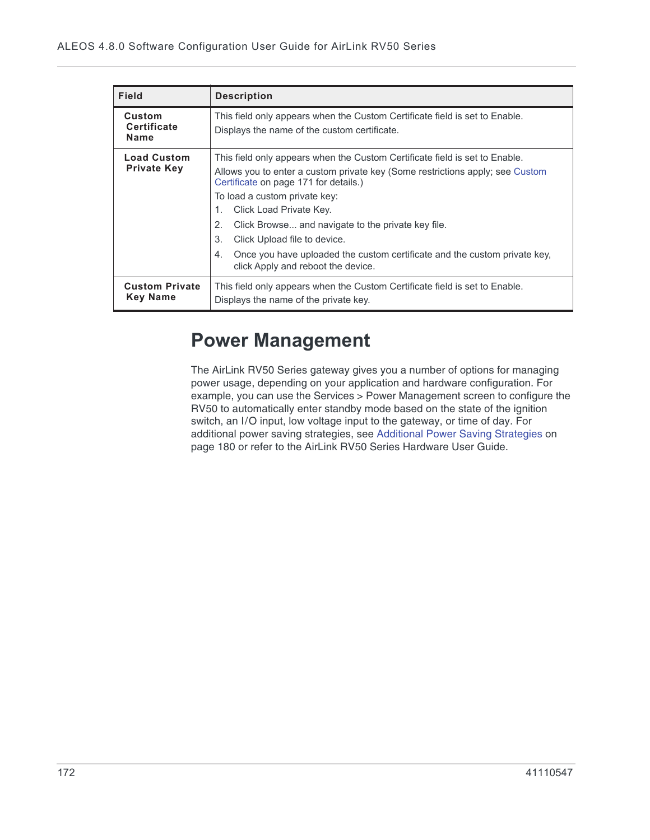| <b>Field</b>                                | <b>Description</b>                                                                                                                                                                                                                                                                                                                                                                                                                                                                                 |  |  |  |  |
|---------------------------------------------|----------------------------------------------------------------------------------------------------------------------------------------------------------------------------------------------------------------------------------------------------------------------------------------------------------------------------------------------------------------------------------------------------------------------------------------------------------------------------------------------------|--|--|--|--|
| Custom<br><b>Certificate</b><br><b>Name</b> | This field only appears when the Custom Certificate field is set to Enable.<br>Displays the name of the custom certificate.                                                                                                                                                                                                                                                                                                                                                                        |  |  |  |  |
| <b>Load Custom</b><br><b>Private Key</b>    | This field only appears when the Custom Certificate field is set to Enable.<br>Allows you to enter a custom private key (Some restrictions apply; see Custom<br>Certificate on page 171 for details.)<br>To load a custom private key:<br>Click Load Private Key.<br>1.<br>Click Browse and navigate to the private key file.<br>2.<br>Click Upload file to device.<br>3.<br>Once you have uploaded the custom certificate and the custom private key.<br>4.<br>click Apply and reboot the device. |  |  |  |  |
| <b>Custom Private</b><br><b>Key Name</b>    | This field only appears when the Custom Certificate field is set to Enable.<br>Displays the name of the private key.                                                                                                                                                                                                                                                                                                                                                                               |  |  |  |  |

## **Power Management**

The AirLink RV50 Series gateway gives you a number of options for managing power usage, depending on your application and hardware configuration. For example, you can use the Services > Power Management screen to configure the RV50 to automatically enter standby mode based on the state of the ignition switch, an I/O input, low voltage input to the gateway, or time of day. For additional power saving strategies, see Additional Power Saving Strategies on page 180 or refer to the AirLink RV50 Series Hardware User Guide.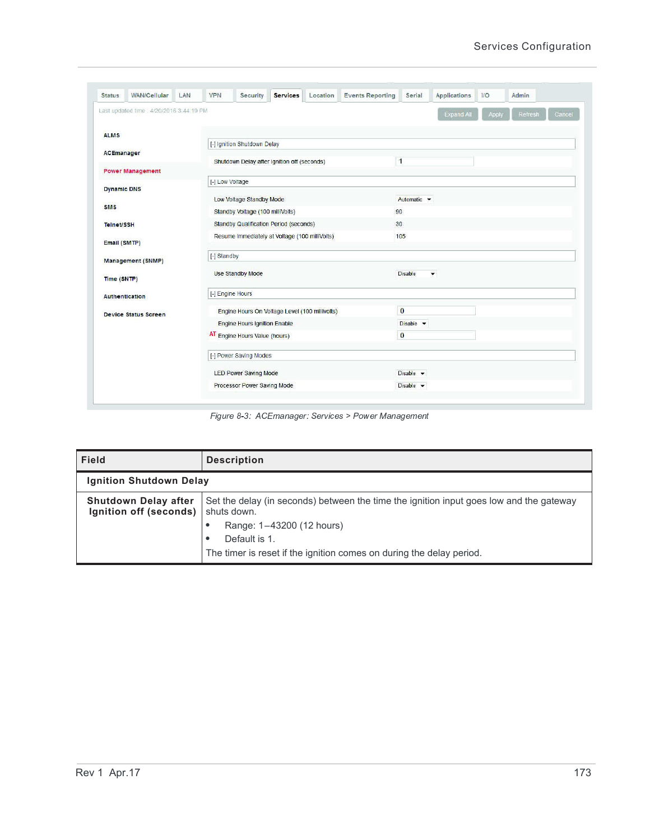| <b>Status</b>      | <b>WAN/Cellular</b>                      | LAN                           | <b>VPN</b>                                     | Security                                       | <b>Services</b> | Location | <b>Events Reporting</b>       | Serial                              | <b>Applications</b> | $1/O$ | Admin             |
|--------------------|------------------------------------------|-------------------------------|------------------------------------------------|------------------------------------------------|-----------------|----------|-------------------------------|-------------------------------------|---------------------|-------|-------------------|
|                    | Last updated time : 4/20/2016 3:44:19 PM |                               |                                                |                                                |                 |          |                               |                                     | <b>Expand All</b>   | Apply | Cancel<br>Refresh |
| <b>ALMS</b>        |                                          |                               |                                                |                                                |                 |          |                               |                                     |                     |       |                   |
|                    |                                          |                               |                                                | [-] Ignition Shutdown Delay                    |                 |          |                               |                                     |                     |       |                   |
| ACEmanager         |                                          |                               |                                                | Shutdown Delay after Ignition off (seconds)    |                 |          |                               | $\mathbf{1}$                        |                     |       |                   |
|                    | <b>Power Management</b>                  |                               |                                                |                                                |                 |          |                               |                                     |                     |       |                   |
| <b>Dynamic DNS</b> |                                          |                               | [-] Low Voltage                                |                                                |                 |          |                               |                                     |                     |       |                   |
|                    |                                          |                               |                                                | Low Voltage Standby Mode                       |                 |          |                               | Automatic •                         |                     |       |                   |
| <b>SMS</b>         |                                          |                               | Standby Voltage (100 milliVolts)               |                                                |                 |          |                               | 90                                  |                     |       |                   |
| <b>Telnet/SSH</b>  |                                          |                               | Standby Qualification Period (seconds)         |                                                |                 |          |                               | 30 <sub>2</sub>                     |                     |       |                   |
|                    |                                          |                               | Resume Immediately at Voltage (100 milliVolts) |                                                |                 |          | 105                           |                                     |                     |       |                   |
| Email (SMTP)       |                                          |                               |                                                |                                                |                 |          |                               |                                     |                     |       |                   |
|                    | <b>Management (SNMP)</b>                 |                               | [-] Standby                                    |                                                |                 |          |                               |                                     |                     |       |                   |
|                    |                                          |                               |                                                | <b>Use Standby Mode</b>                        |                 |          |                               | Disable<br>$\overline{\phantom{a}}$ |                     |       |                   |
| Time (SNTP)        |                                          |                               |                                                |                                                |                 |          |                               |                                     |                     |       |                   |
|                    | Authentication                           |                               | [-] Engine Hours                               |                                                |                 |          |                               |                                     |                     |       |                   |
|                    | <b>Device Status Screen</b>              |                               |                                                | Engine Hours On Voltage Level (100 millivolts) |                 |          |                               | $\bf{0}$                            |                     |       |                   |
|                    |                                          |                               | <b>Engine Hours Ignition Enable</b>            |                                                |                 |          | Disable $\blacktriangledown$  |                                     |                     |       |                   |
|                    |                                          | AT Engine Hours Value (hours) |                                                |                                                |                 | $\bf{0}$ |                               |                                     |                     |       |                   |
|                    |                                          |                               |                                                | [-] Power Saving Modes                         |                 |          |                               |                                     |                     |       |                   |
|                    |                                          |                               |                                                | <b>LED Power Saving Mode</b>                   |                 |          |                               | Disable $\blacktriangledown$        |                     |       |                   |
|                    |                                          |                               | Processor Power Saving Mode                    |                                                |                 |          | Disable $\blacktriangleright$ |                                     |                     |       |                   |

Figure 8-3: ACEmanager: Services > Power Management

| Field                                                 | <b>Description</b>                                                                                     |  |  |  |  |
|-------------------------------------------------------|--------------------------------------------------------------------------------------------------------|--|--|--|--|
| <b>Ignition Shutdown Delay</b>                        |                                                                                                        |  |  |  |  |
| <b>Shutdown Delay after</b><br>Ignition off (seconds) | Set the delay (in seconds) between the time the ignition input goes low and the gateway<br>shuts down. |  |  |  |  |
|                                                       | Range: 1-43200 (12 hours)                                                                              |  |  |  |  |
|                                                       | Default is 1.<br>٠                                                                                     |  |  |  |  |
|                                                       | The timer is reset if the ignition comes on during the delay period.                                   |  |  |  |  |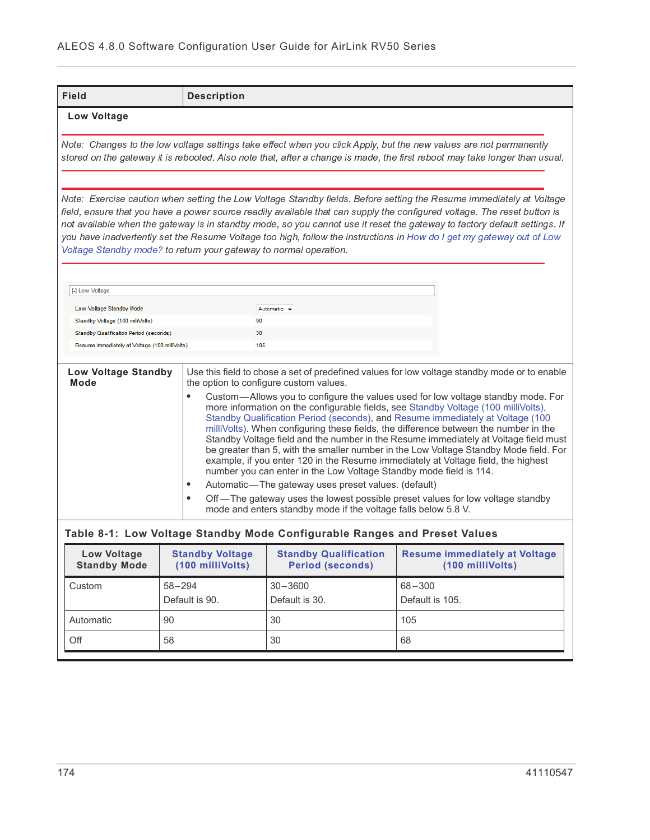| Field                                                                                                                                                                                                                                                                                                                                                                                                                                                                                                                                                                                                                                                                                                                                                                                                                                                                                                                                                                                                                                                                                                                          |            | <b>Description</b>                         |                                                                           |                                                                                                                                                                                                                                                  |  |
|--------------------------------------------------------------------------------------------------------------------------------------------------------------------------------------------------------------------------------------------------------------------------------------------------------------------------------------------------------------------------------------------------------------------------------------------------------------------------------------------------------------------------------------------------------------------------------------------------------------------------------------------------------------------------------------------------------------------------------------------------------------------------------------------------------------------------------------------------------------------------------------------------------------------------------------------------------------------------------------------------------------------------------------------------------------------------------------------------------------------------------|------------|--------------------------------------------|---------------------------------------------------------------------------|--------------------------------------------------------------------------------------------------------------------------------------------------------------------------------------------------------------------------------------------------|--|
| Low Voltage                                                                                                                                                                                                                                                                                                                                                                                                                                                                                                                                                                                                                                                                                                                                                                                                                                                                                                                                                                                                                                                                                                                    |            |                                            |                                                                           |                                                                                                                                                                                                                                                  |  |
|                                                                                                                                                                                                                                                                                                                                                                                                                                                                                                                                                                                                                                                                                                                                                                                                                                                                                                                                                                                                                                                                                                                                |            |                                            |                                                                           | Note: Changes to the low voltage settings take effect when you click Apply, but the new values are not permanently<br>stored on the gateway it is rebooted. Also note that, after a change is made, the first reboot may take longer than usual. |  |
| Note: Exercise caution when setting the Low Voltage Standby fields. Before setting the Resume immediately at Voltage<br>field, ensure that you have a power source readily available that can supply the configured voltage. The reset button is<br>not available when the gateway is in standby mode, so you cannot use it reset the gateway to factory default settings. If<br>you have inadvertently set the Resume Voltage too high, follow the instructions in How do I get my gateway out of Low<br>Voltage Standby mode? to return your gateway to normal operation.                                                                                                                                                                                                                                                                                                                                                                                                                                                                                                                                                    |            |                                            |                                                                           |                                                                                                                                                                                                                                                  |  |
| [-] Low Voltage                                                                                                                                                                                                                                                                                                                                                                                                                                                                                                                                                                                                                                                                                                                                                                                                                                                                                                                                                                                                                                                                                                                |            |                                            |                                                                           |                                                                                                                                                                                                                                                  |  |
| Low Voltage Standby Mode                                                                                                                                                                                                                                                                                                                                                                                                                                                                                                                                                                                                                                                                                                                                                                                                                                                                                                                                                                                                                                                                                                       |            |                                            | Automatic v                                                               |                                                                                                                                                                                                                                                  |  |
| Standby Voltage (100 milliVolts)                                                                                                                                                                                                                                                                                                                                                                                                                                                                                                                                                                                                                                                                                                                                                                                                                                                                                                                                                                                                                                                                                               |            | 90                                         |                                                                           |                                                                                                                                                                                                                                                  |  |
| <b>Standby Qualification Period (seconds)</b>                                                                                                                                                                                                                                                                                                                                                                                                                                                                                                                                                                                                                                                                                                                                                                                                                                                                                                                                                                                                                                                                                  |            | 30                                         |                                                                           |                                                                                                                                                                                                                                                  |  |
| 105<br>Resume Immediately at Voltage (100 milliVolts)                                                                                                                                                                                                                                                                                                                                                                                                                                                                                                                                                                                                                                                                                                                                                                                                                                                                                                                                                                                                                                                                          |            |                                            |                                                                           |                                                                                                                                                                                                                                                  |  |
| Use this field to chose a set of predefined values for low voltage standby mode or to enable<br>Low Voltage Standby<br><b>Mode</b><br>the option to configure custom values.<br>$\bullet$<br>Custom—Allows you to configure the values used for low voltage standby mode. For<br>more information on the configurable fields, see Standby Voltage (100 milliVolts),<br>Standby Qualification Period (seconds), and Resume immediately at Voltage (100<br>milliVolts). When configuring these fields, the difference between the number in the<br>Standby Voltage field and the number in the Resume immediately at Voltage field must<br>be greater than 5, with the smaller number in the Low Voltage Standby Mode field. For<br>example, if you enter 120 in the Resume immediately at Voltage field, the highest<br>number you can enter in the Low Voltage Standby mode field is 114.<br>Automatic-The gateway uses preset values. (default)<br>$\bullet$<br>Off-The gateway uses the lowest possible preset values for low voltage standby<br>$\bullet$<br>mode and enters standby mode if the voltage falls below 5.8 V. |            |                                            |                                                                           |                                                                                                                                                                                                                                                  |  |
|                                                                                                                                                                                                                                                                                                                                                                                                                                                                                                                                                                                                                                                                                                                                                                                                                                                                                                                                                                                                                                                                                                                                |            |                                            | Table 8-1: Low Voltage Standby Mode Configurable Ranges and Preset Values |                                                                                                                                                                                                                                                  |  |
| <b>Low Voltage</b><br><b>Standby Mode</b>                                                                                                                                                                                                                                                                                                                                                                                                                                                                                                                                                                                                                                                                                                                                                                                                                                                                                                                                                                                                                                                                                      |            | <b>Standby Voltage</b><br>(100 milliVolts) | <b>Standby Qualification</b><br><b>Period (seconds)</b>                   | <b>Resume immediately at Voltage</b><br>(100 milliVolts)                                                                                                                                                                                         |  |
| Custom                                                                                                                                                                                                                                                                                                                                                                                                                                                                                                                                                                                                                                                                                                                                                                                                                                                                                                                                                                                                                                                                                                                         | $58 - 294$ | Default is 90                              | $30 - 3600$<br>Default is 30                                              | $68 - 300$<br>Default is 105                                                                                                                                                                                                                     |  |

|           | Default is 90. | Derault is 30. | Default is 105. |
|-----------|----------------|----------------|-----------------|
| Automatic | 90             | 30             | 105             |
| Off       | 58             | 30             | 68              |
|           |                |                |                 |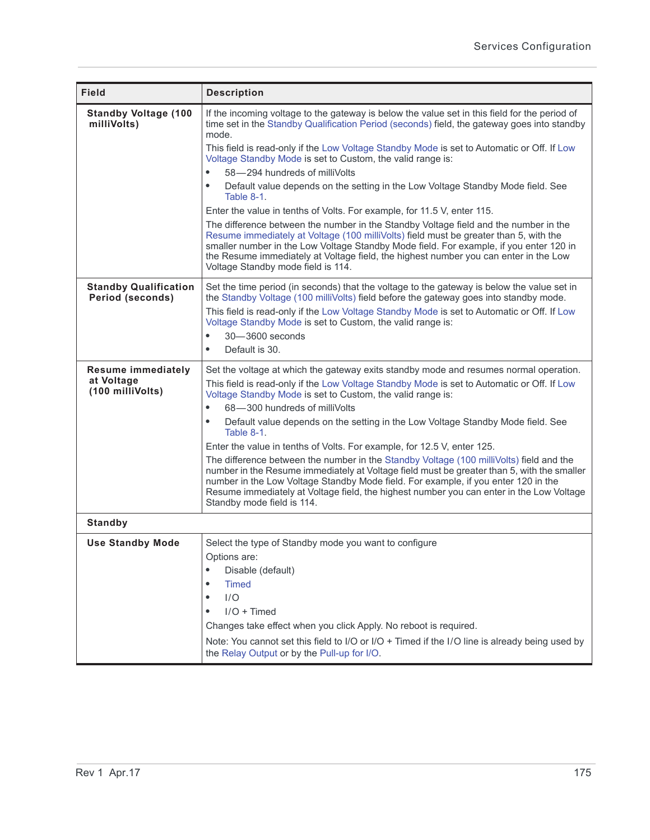| <b>Field</b>                                                | <b>Description</b>                                                                                                                                                                                                                                                                                                                                                                                                                                                                                                                                                                                                                                                                                                                                                                                                                                                                                                                                                                                   |
|-------------------------------------------------------------|------------------------------------------------------------------------------------------------------------------------------------------------------------------------------------------------------------------------------------------------------------------------------------------------------------------------------------------------------------------------------------------------------------------------------------------------------------------------------------------------------------------------------------------------------------------------------------------------------------------------------------------------------------------------------------------------------------------------------------------------------------------------------------------------------------------------------------------------------------------------------------------------------------------------------------------------------------------------------------------------------|
| <b>Standby Voltage (100</b><br>milliVolts)                  | If the incoming voltage to the gateway is below the value set in this field for the period of<br>time set in the Standby Qualification Period (seconds) field, the gateway goes into standby<br>mode.<br>This field is read-only if the Low Voltage Standby Mode is set to Automatic or Off. If Low<br>Voltage Standby Mode is set to Custom, the valid range is:<br>58-294 hundreds of milliVolts<br>Default value depends on the setting in the Low Voltage Standby Mode field. See<br>$\bullet$<br>Table 8-1.<br>Enter the value in tenths of Volts. For example, for 11.5 V, enter 115.<br>The difference between the number in the Standby Voltage field and the number in the<br>Resume immediately at Voltage (100 milliVolts) field must be greater than 5, with the<br>smaller number in the Low Voltage Standby Mode field. For example, if you enter 120 in<br>the Resume immediately at Voltage field, the highest number you can enter in the Low<br>Voltage Standby mode field is 114. |
| <b>Standby Qualification</b><br><b>Period (seconds)</b>     | Set the time period (in seconds) that the voltage to the gateway is below the value set in<br>the Standby Voltage (100 milliVolts) field before the gateway goes into standby mode.<br>This field is read-only if the Low Voltage Standby Mode is set to Automatic or Off. If Low<br>Voltage Standby Mode is set to Custom, the valid range is:<br>30-3600 seconds<br>$\bullet$<br>Default is 30.<br>$\bullet$                                                                                                                                                                                                                                                                                                                                                                                                                                                                                                                                                                                       |
| <b>Resume immediately</b><br>at Voltage<br>(100 milliVolts) | Set the voltage at which the gateway exits standby mode and resumes normal operation.<br>This field is read-only if the Low Voltage Standby Mode is set to Automatic or Off. If Low<br>Voltage Standby Mode is set to Custom, the valid range is:<br>68-300 hundreds of milliVolts<br>Default value depends on the setting in the Low Voltage Standby Mode field. See<br>٠<br>Table 8-1.<br>Enter the value in tenths of Volts. For example, for 12.5 V, enter 125.<br>The difference between the number in the Standby Voltage (100 milliVolts) field and the<br>number in the Resume immediately at Voltage field must be greater than 5, with the smaller<br>number in the Low Voltage Standby Mode field. For example, if you enter 120 in the<br>Resume immediately at Voltage field, the highest number you can enter in the Low Voltage<br>Standby mode field is 114.                                                                                                                         |
| <b>Standby</b>                                              |                                                                                                                                                                                                                                                                                                                                                                                                                                                                                                                                                                                                                                                                                                                                                                                                                                                                                                                                                                                                      |
| <b>Use Standby Mode</b>                                     | Select the type of Standby mode you want to configure<br>Options are:<br>Disable (default)<br>$\bullet$<br>Timed<br>٠<br>I/O<br>٠<br>$I/O + Timed$<br>Changes take effect when you click Apply. No reboot is required.<br>Note: You cannot set this field to I/O or I/O + Timed if the I/O line is already being used by<br>the Relay Output or by the Pull-up for I/O.                                                                                                                                                                                                                                                                                                                                                                                                                                                                                                                                                                                                                              |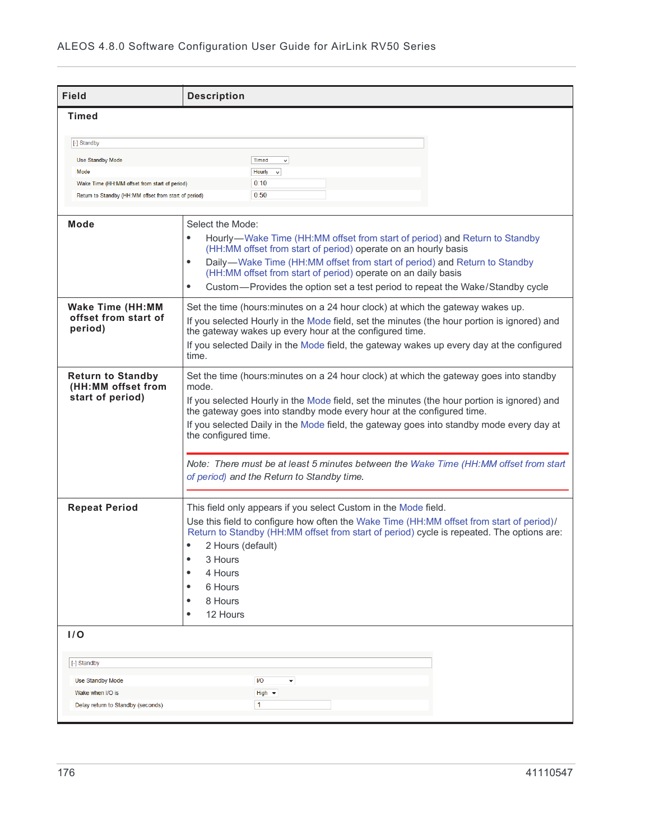| <b>Field</b>                                                                                           | <b>Description</b>                                                                                                                                                                                                                                                                                                                                                                                                        |
|--------------------------------------------------------------------------------------------------------|---------------------------------------------------------------------------------------------------------------------------------------------------------------------------------------------------------------------------------------------------------------------------------------------------------------------------------------------------------------------------------------------------------------------------|
| <b>Timed</b>                                                                                           |                                                                                                                                                                                                                                                                                                                                                                                                                           |
| [-] Standby                                                                                            |                                                                                                                                                                                                                                                                                                                                                                                                                           |
| <b>Use Standby Mode</b><br>Mode                                                                        | <b>Timed</b><br>$\checkmark$<br>Hourly<br>$\checkmark$                                                                                                                                                                                                                                                                                                                                                                    |
| Wake Time (HH:MM offset from start of period)<br>Return to Standby (HH:MM offset from start of period) | 0:10<br>0:50                                                                                                                                                                                                                                                                                                                                                                                                              |
| Mode                                                                                                   | Select the Mode:<br>Hourly—Wake Time (HH:MM offset from start of period) and Return to Standby<br>(HH:MM offset from start of period) operate on an hourly basis<br>Daily-Wake Time (HH:MM offset from start of period) and Return to Standby<br>$\bullet$<br>(HH:MM offset from start of period) operate on an daily basis<br>Custom—Provides the option set a test period to repeat the Wake/Standby cycle<br>$\bullet$ |
| <b>Wake Time (HH:MM</b><br>offset from start of<br>period)                                             | Set the time (hours: minutes on a 24 hour clock) at which the gateway wakes up.<br>If you selected Hourly in the Mode field, set the minutes (the hour portion is ignored) and<br>the gateway wakes up every hour at the configured time.<br>If you selected Daily in the Mode field, the gateway wakes up every day at the configured<br>time.                                                                           |
| <b>Return to Standby</b><br>(HH:MM offset from<br>start of period)                                     | Set the time (hours: minutes on a 24 hour clock) at which the gateway goes into standby<br>mode.<br>If you selected Hourly in the Mode field, set the minutes (the hour portion is ignored) and<br>the gateway goes into standby mode every hour at the configured time.<br>If you selected Daily in the Mode field, the gateway goes into standby mode every day at<br>the configured time.                              |
|                                                                                                        | Note: There must be at least 5 minutes between the Wake Time (HH:MM offset from start<br>of period) and the Return to Standby time.                                                                                                                                                                                                                                                                                       |
| <b>Repeat Period</b>                                                                                   | This field only appears if you select Custom in the Mode field.<br>Use this field to configure how often the Wake Time (HH:MM offset from start of period)/<br>Return to Standby (HH:MM offset from start of period) cycle is repeated. The options are:<br>2 Hours (default)<br>$\bullet$<br>3 Hours<br>۰<br>4 Hours<br>$\bullet$<br>6 Hours<br>8 Hours<br>$\bullet$<br>12 Hours<br>$\bullet$                            |
| 1/O                                                                                                    |                                                                                                                                                                                                                                                                                                                                                                                                                           |
| [-] Standby                                                                                            |                                                                                                                                                                                                                                                                                                                                                                                                                           |
| Use Standby Mode<br>Wake when I/O is<br>Delay return to Standby (seconds)                              | I/O<br>High $\blacktriangledown$<br>$\mathbf{1}$                                                                                                                                                                                                                                                                                                                                                                          |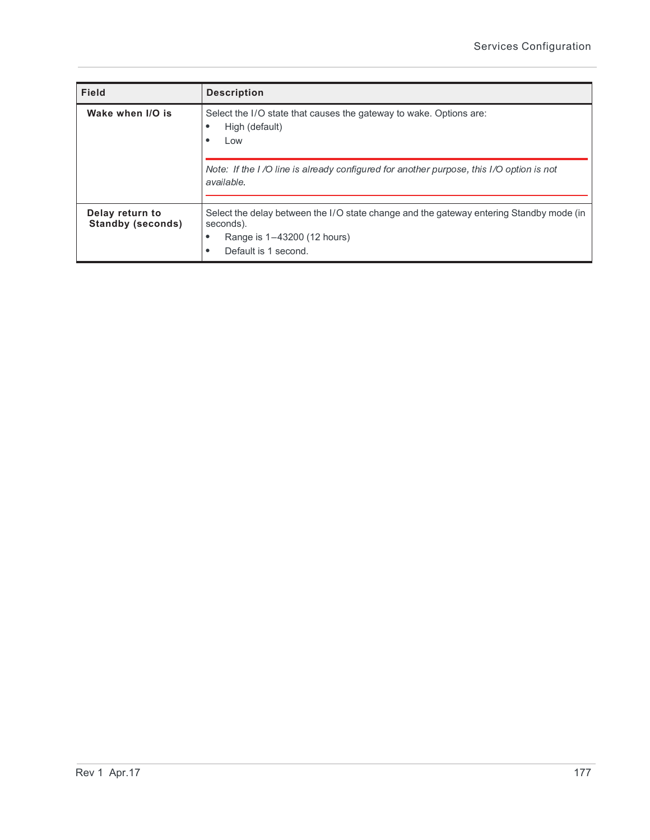| <b>Field</b>                                | <b>Description</b>                                                                                                                                          |
|---------------------------------------------|-------------------------------------------------------------------------------------------------------------------------------------------------------------|
| Wake when I/O is                            | Select the I/O state that causes the gateway to wake. Options are:<br>High (default)<br>Low                                                                 |
|                                             | Note: If the I/O line is already configured for another purpose, this I/O option is not<br>available.                                                       |
| Delay return to<br><b>Standby (seconds)</b> | Select the delay between the I/O state change and the gateway entering Standby mode (in<br>seconds).<br>Range is 1-43200 (12 hours)<br>Default is 1 second. |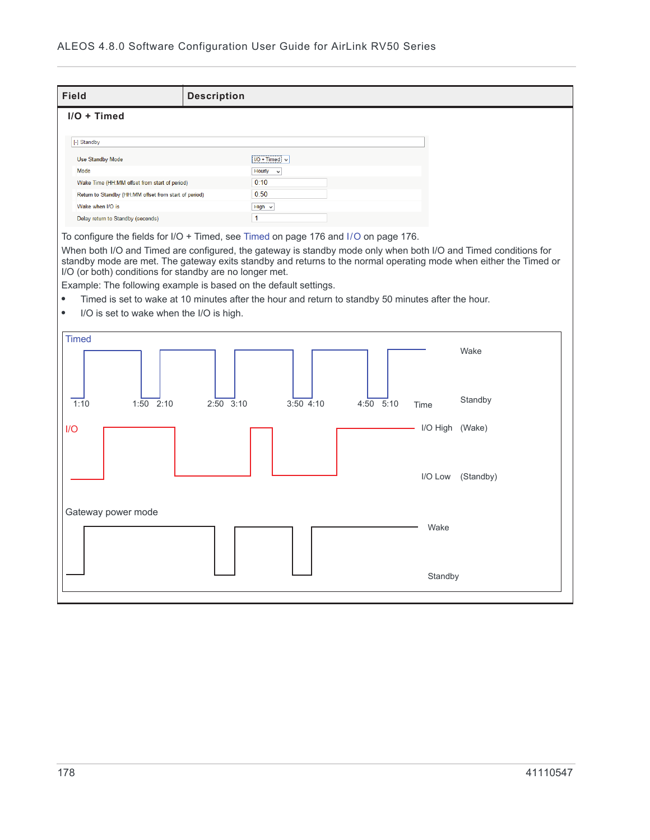| Field                                                   | <b>Description</b>                                                                                                                                                                                                                   |  |  |  |  |
|---------------------------------------------------------|--------------------------------------------------------------------------------------------------------------------------------------------------------------------------------------------------------------------------------------|--|--|--|--|
| $I/O + Timed$                                           |                                                                                                                                                                                                                                      |  |  |  |  |
|                                                         |                                                                                                                                                                                                                                      |  |  |  |  |
| [-] Standby                                             |                                                                                                                                                                                                                                      |  |  |  |  |
| Use Standby Mode                                        | $NO + Timed$ $\vee$                                                                                                                                                                                                                  |  |  |  |  |
| Mode                                                    | Hourly<br>$\checkmark$                                                                                                                                                                                                               |  |  |  |  |
| Wake Time (HH:MM offset from start of period)           | 0:10                                                                                                                                                                                                                                 |  |  |  |  |
| Return to Standby (HH:MM offset from start of period)   | 0:50                                                                                                                                                                                                                                 |  |  |  |  |
| Wake when I/O is                                        | High $\vee$                                                                                                                                                                                                                          |  |  |  |  |
| Delay return to Standby (seconds)                       | $\mathbf{1}$                                                                                                                                                                                                                         |  |  |  |  |
|                                                         | To configure the fields for I/O + Timed, see Timed on page 176 and I/O on page 176.                                                                                                                                                  |  |  |  |  |
| I/O (or both) conditions for standby are no longer met. | When both I/O and Timed are configured, the gateway is standby mode only when both I/O and Timed conditions for<br>standby mode are met. The gateway exits standby and returns to the normal operating mode when either the Timed or |  |  |  |  |
|                                                         | Example: The following example is based on the default settings.                                                                                                                                                                     |  |  |  |  |
| $\bullet$                                               | Timed is set to wake at 10 minutes after the hour and return to standby 50 minutes after the hour.                                                                                                                                   |  |  |  |  |
| I/O is set to wake when the I/O is high.<br>$\bullet$   |                                                                                                                                                                                                                                      |  |  |  |  |
|                                                         |                                                                                                                                                                                                                                      |  |  |  |  |
| <b>Timed</b>                                            | Wake                                                                                                                                                                                                                                 |  |  |  |  |
| 1:10<br>$1:50$ $2:10$                                   | Standby<br>$2:50$ $3:10$<br>$3:50$ 4:10<br>4:50 5:10<br>Time                                                                                                                                                                         |  |  |  |  |
| I/O                                                     | I/O High (Wake)                                                                                                                                                                                                                      |  |  |  |  |
|                                                         | I/O Low<br>(Standby)                                                                                                                                                                                                                 |  |  |  |  |
| Gateway power mode                                      |                                                                                                                                                                                                                                      |  |  |  |  |
|                                                         | Wake                                                                                                                                                                                                                                 |  |  |  |  |
|                                                         | Standby                                                                                                                                                                                                                              |  |  |  |  |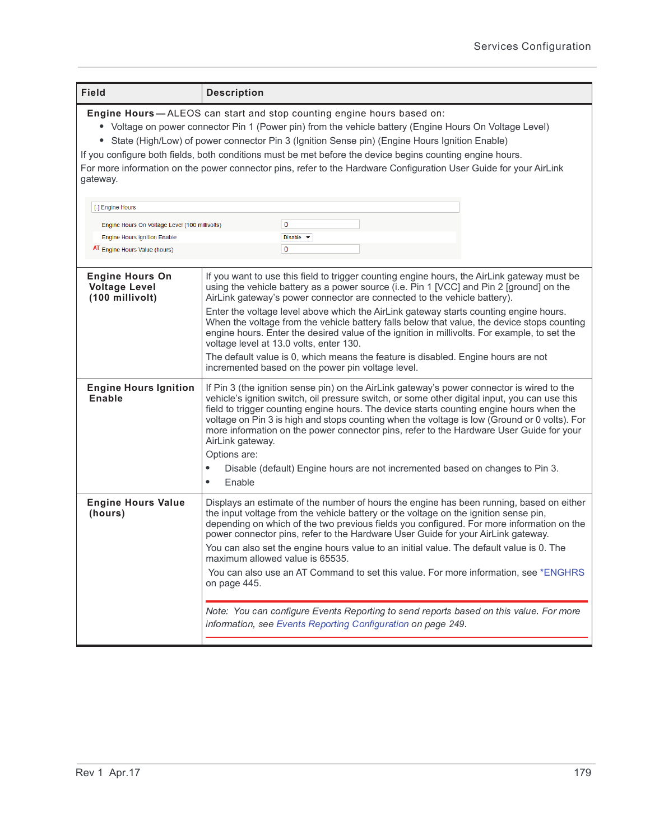| <b>Field</b>                                                                                                                                                                                                                                                                                                                                                                                                                                                                                                                      | <b>Description</b>                                                                                                                                                                                                                                                                                                                                                                                                                                                                                                                                                                                                                                                                                                                                                |  |  |  |
|-----------------------------------------------------------------------------------------------------------------------------------------------------------------------------------------------------------------------------------------------------------------------------------------------------------------------------------------------------------------------------------------------------------------------------------------------------------------------------------------------------------------------------------|-------------------------------------------------------------------------------------------------------------------------------------------------------------------------------------------------------------------------------------------------------------------------------------------------------------------------------------------------------------------------------------------------------------------------------------------------------------------------------------------------------------------------------------------------------------------------------------------------------------------------------------------------------------------------------------------------------------------------------------------------------------------|--|--|--|
| Engine Hours-ALEOS can start and stop counting engine hours based on:<br>• Voltage on power connector Pin 1 (Power pin) from the vehicle battery (Engine Hours On Voltage Level)<br>• State (High/Low) of power connector Pin 3 (Ignition Sense pin) (Engine Hours Ignition Enable)<br>If you configure both fields, both conditions must be met before the device begins counting engine hours.<br>For more information on the power connector pins, refer to the Hardware Configuration User Guide for your AirLink<br>gateway. |                                                                                                                                                                                                                                                                                                                                                                                                                                                                                                                                                                                                                                                                                                                                                                   |  |  |  |
| [-] Engine Hours                                                                                                                                                                                                                                                                                                                                                                                                                                                                                                                  |                                                                                                                                                                                                                                                                                                                                                                                                                                                                                                                                                                                                                                                                                                                                                                   |  |  |  |
| Engine Hours On Voltage Level (100 millivolts)                                                                                                                                                                                                                                                                                                                                                                                                                                                                                    | $\bf{0}$                                                                                                                                                                                                                                                                                                                                                                                                                                                                                                                                                                                                                                                                                                                                                          |  |  |  |
| <b>Engine Hours Ignition Enable</b>                                                                                                                                                                                                                                                                                                                                                                                                                                                                                               | Disable $\blacktriangledown$                                                                                                                                                                                                                                                                                                                                                                                                                                                                                                                                                                                                                                                                                                                                      |  |  |  |
| AT Engine Hours Value (hours)                                                                                                                                                                                                                                                                                                                                                                                                                                                                                                     | $\mathbf 0$                                                                                                                                                                                                                                                                                                                                                                                                                                                                                                                                                                                                                                                                                                                                                       |  |  |  |
| <b>Engine Hours On</b><br><b>Voltage Level</b><br>(100 millivolt)                                                                                                                                                                                                                                                                                                                                                                                                                                                                 | If you want to use this field to trigger counting engine hours, the AirLink gateway must be<br>using the vehicle battery as a power source (i.e. Pin 1 [VCC] and Pin 2 [ground] on the<br>AirLink gateway's power connector are connected to the vehicle battery).<br>Enter the voltage level above which the AirLink gateway starts counting engine hours.<br>When the voltage from the vehicle battery falls below that value, the device stops counting<br>engine hours. Enter the desired value of the ignition in millivolts. For example, to set the<br>voltage level at 13.0 volts, enter 130.<br>The default value is 0, which means the feature is disabled. Engine hours are not<br>incremented based on the power pin voltage level.                   |  |  |  |
| <b>Engine Hours Ignition</b><br>Enable                                                                                                                                                                                                                                                                                                                                                                                                                                                                                            | If Pin 3 (the ignition sense pin) on the AirLink gateway's power connector is wired to the<br>vehicle's ignition switch, oil pressure switch, or some other digital input, you can use this<br>field to trigger counting engine hours. The device starts counting engine hours when the<br>voltage on Pin 3 is high and stops counting when the voltage is low (Ground or 0 volts). For<br>more information on the power connector pins, refer to the Hardware User Guide for your<br>AirLink gateway.<br>Options are:<br>Disable (default) Engine hours are not incremented based on changes to Pin 3.<br>$\bullet$<br>Enable<br>$\bullet$                                                                                                                       |  |  |  |
| <b>Engine Hours Value</b><br>(hours)                                                                                                                                                                                                                                                                                                                                                                                                                                                                                              | Displays an estimate of the number of hours the engine has been running, based on either<br>the input voltage from the vehicle battery or the voltage on the ignition sense pin,<br>depending on which of the two previous fields you configured. For more information on the<br>power connector pins, refer to the Hardware User Guide for your AirLink gateway.<br>You can also set the engine hours value to an initial value. The default value is 0. The<br>maximum allowed value is 65535.<br>You can also use an AT Command to set this value. For more information, see *ENGHRS<br>on page 445.<br>Note: You can configure Events Reporting to send reports based on this value. For more<br>information, see Events Reporting Configuration on page 249. |  |  |  |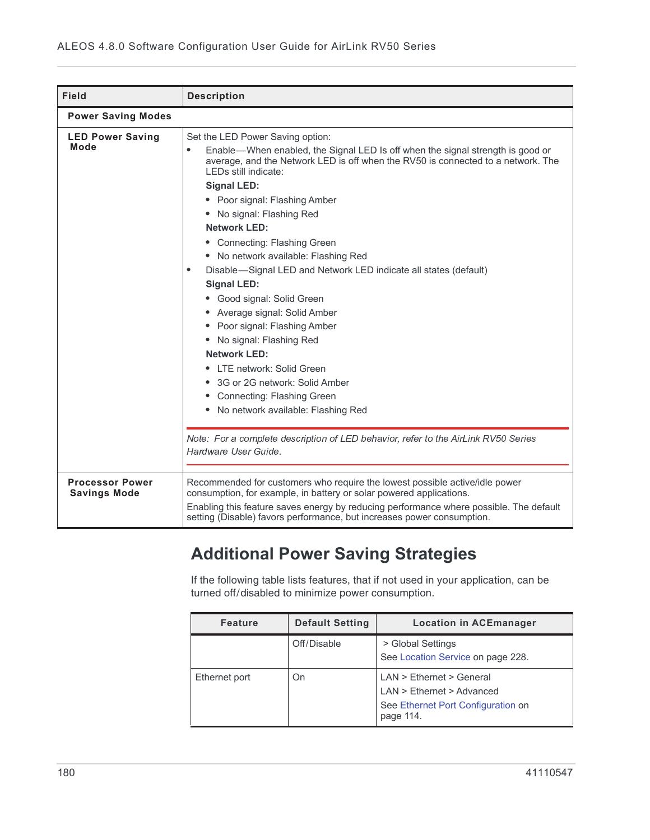| <b>Field</b>                                  | <b>Description</b>                                                                                                                                                                                                                                                                                                                                                                                                                                                                                                                                                                                                                                                                                                                                                                                                                                                                                                               |  |  |  |  |
|-----------------------------------------------|----------------------------------------------------------------------------------------------------------------------------------------------------------------------------------------------------------------------------------------------------------------------------------------------------------------------------------------------------------------------------------------------------------------------------------------------------------------------------------------------------------------------------------------------------------------------------------------------------------------------------------------------------------------------------------------------------------------------------------------------------------------------------------------------------------------------------------------------------------------------------------------------------------------------------------|--|--|--|--|
| <b>Power Saving Modes</b>                     |                                                                                                                                                                                                                                                                                                                                                                                                                                                                                                                                                                                                                                                                                                                                                                                                                                                                                                                                  |  |  |  |  |
| <b>LED Power Saving</b><br>Mode               | Set the LED Power Saving option:<br>Enable—When enabled, the Signal LED Is off when the signal strength is good or<br>average, and the Network LED is off when the RV50 is connected to a network. The<br>LEDs still indicate:<br><b>Signal LED:</b><br>• Poor signal: Flashing Amber<br>No signal: Flashing Red<br><b>Network LED:</b><br>• Connecting: Flashing Green<br>• No network available: Flashing Red<br>Disable-Signal LED and Network LED indicate all states (default)<br>$\bullet$<br><b>Signal LED:</b><br>Good signal: Solid Green<br>Average signal: Solid Amber<br>Poor signal: Flashing Amber<br>$\bullet$<br>No signal: Flashing Red<br><b>Network LED:</b><br>LTE network: Solid Green<br>3G or 2G network: Solid Amber<br>Connecting: Flashing Green<br>• No network available: Flashing Red<br>Note: For a complete description of LED behavior, refer to the AirLink RV50 Series<br>Hardware User Guide. |  |  |  |  |
| <b>Processor Power</b><br><b>Savings Mode</b> | Recommended for customers who require the lowest possible active/idle power<br>consumption, for example, in battery or solar powered applications.<br>Enabling this feature saves energy by reducing performance where possible. The default<br>setting (Disable) favors performance, but increases power consumption.                                                                                                                                                                                                                                                                                                                                                                                                                                                                                                                                                                                                           |  |  |  |  |

## **Additional Power Saving Strategies**

If the following table lists features, that if not used in your application, can be turned off/disabled to minimize power consumption.

| <b>Feature</b> | <b>Default Setting</b> | <b>Location in ACEmanager</b>                                                                              |
|----------------|------------------------|------------------------------------------------------------------------------------------------------------|
|                | Off/Disable            | > Global Settings<br>See Location Service on page 228.                                                     |
| Ethernet port  | On                     | $LAN$ > Ethernet > General<br>LAN > Ethernet > Advanced<br>See Ethernet Port Configuration on<br>page 114. |